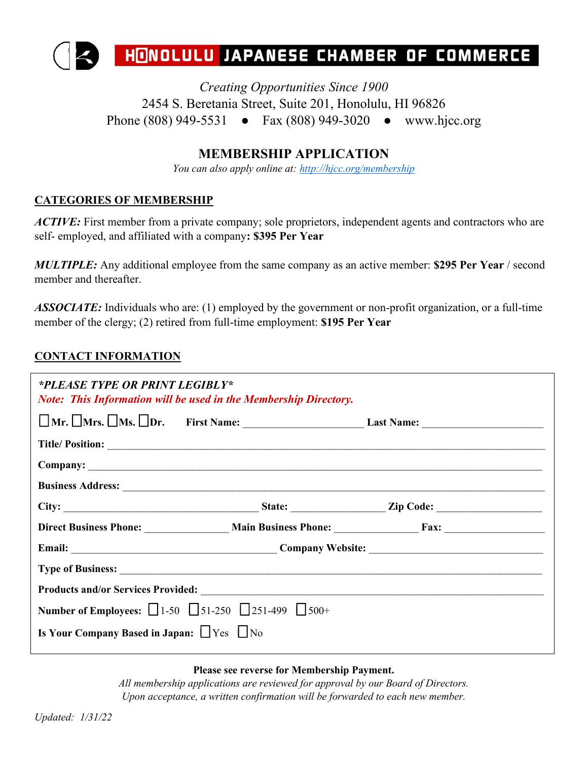

*Creating Opportunities Since 1900* 2454 S. Beretania Street, Suite 201, Honolulu, HI 96826 Phone (808) 949-5531 • Fax (808) 949-3020 • www.hjcc.org

## **MEMBERSHIP APPLICATION**

*You can also apply online at:<http://hjcc.org/membership>*

## **CATEGORIES OF MEMBERSHIP**

*ACTIVE*: First member from a private company; sole proprietors, independent agents and contractors who are self- employed, and affiliated with a company**: \$395 Per Year**

*MULTIPLE:* Any additional employee from the same company as an active member: **\$295 Per Year** / second member and thereafter.

*ASSOCIATE:* Individuals who are: (1) employed by the government or non-profit organization, or a full-time member of the clergy; (2) retired from full-time employment: **\$195 Per Year**

## **CONTACT INFORMATION**

| *PLEASE TYPE OR PRINT LEGIBLY*                                                   | <b>Note: This Information will be used in the Membership Directory.</b> |                                                       |  |  |
|----------------------------------------------------------------------------------|-------------------------------------------------------------------------|-------------------------------------------------------|--|--|
|                                                                                  |                                                                         |                                                       |  |  |
|                                                                                  |                                                                         |                                                       |  |  |
|                                                                                  |                                                                         |                                                       |  |  |
|                                                                                  |                                                                         |                                                       |  |  |
|                                                                                  |                                                                         |                                                       |  |  |
|                                                                                  |                                                                         | Direct Business Phone: Main Business Phone: Fax: Fax: |  |  |
|                                                                                  |                                                                         |                                                       |  |  |
|                                                                                  |                                                                         |                                                       |  |  |
|                                                                                  |                                                                         |                                                       |  |  |
| <b>Number of Employees:</b> $\Box$ 1-50 $\Box$ 51-250 $\Box$ 251-499 $\Box$ 500+ |                                                                         |                                                       |  |  |
| Is Your Company Based in Japan: $\Box$ Yes $\Box$ No                             |                                                                         |                                                       |  |  |

**Please see reverse for Membership Payment.**

*All membership applications are reviewed for approval by our Board of Directors. Upon acceptance, a written confirmation will be forwarded to each new member.*